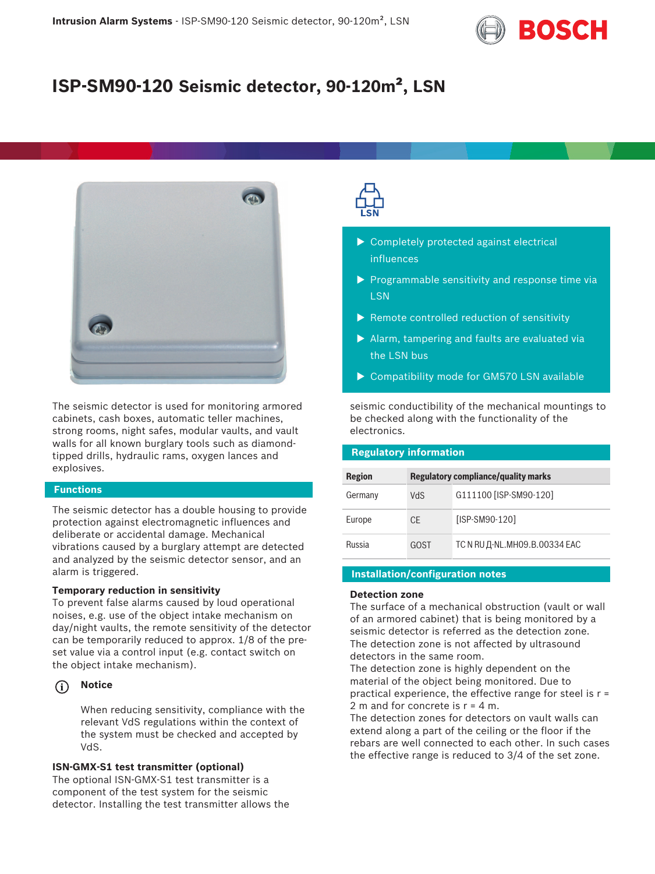

# **ISP-SM90-120 Seismic detector, 90-120m², LSN**



The seismic detector is used for monitoring armored cabinets, cash boxes, automatic teller machines, strong rooms, night safes, modular vaults, and vault walls for all known burglary tools such as diamondtipped drills, hydraulic rams, oxygen lances and explosives.

### **Functions**

The seismic detector has a double housing to provide protection against electromagnetic influences and deliberate or accidental damage. Mechanical vibrations caused by a burglary attempt are detected and analyzed by the seismic detector sensor, and an alarm is triggered.

### **Temporary reduction in sensitivity**

To prevent false alarms caused by loud operational noises, e.g. use of the object intake mechanism on day/night vaults, the remote sensitivity of the detector can be temporarily reduced to approx. 1/8 of the preset value via a control input (e.g. contact switch on the object intake mechanism).

#### **i Notice**

When reducing sensitivity, compliance with the relevant VdS regulations within the context of the system must be checked and accepted by VdS.

#### **ISN-GMX-S1 test transmitter (optional)**

The optional ISN-GMX-S1 test transmitter is a component of the test system for the seismic detector. Installing the test transmitter allows the



- $\triangleright$  Completely protected against electrical influences
- $\triangleright$  Programmable sensitivity and response time via **LSN**
- $\blacktriangleright$  Remote controlled reduction of sensitivity
- $\blacktriangleright$  Alarm, tampering and faults are evaluated via the LSN bus
- $\triangleright$  Compatibility mode for GM570 LSN available

seismic conductibility of the mechanical mountings to be checked along with the functionality of the electronics.

# **Regulatory information**

| <b>Region</b> | <b>Regulatory compliance/quality marks</b> |                               |
|---------------|--------------------------------------------|-------------------------------|
| Germany       | VdS                                        | G111100 [ISP-SM90-120]        |
| Europe        | <b>CE</b>                                  | [ISP-SM90-120]                |
| Russia        | GOST                                       | TC N RU Д-NL.MH09.B.00334 EAC |

## **Installation/configuration notes**

#### **Detection zone**

The surface of a mechanical obstruction (vault or wall of an armored cabinet) that is being monitored by a seismic detector is referred as the detection zone. The detection zone is not affected by ultrasound detectors in the same room.

The detection zone is highly dependent on the material of the object being monitored. Due to practical experience, the effective range for steel is r = 2 m and for concrete is r = 4 m.

The detection zones for detectors on vault walls can extend along a part of the ceiling or the floor if the rebars are well connected to each other. In such cases the effective range is reduced to 3/4 of the set zone.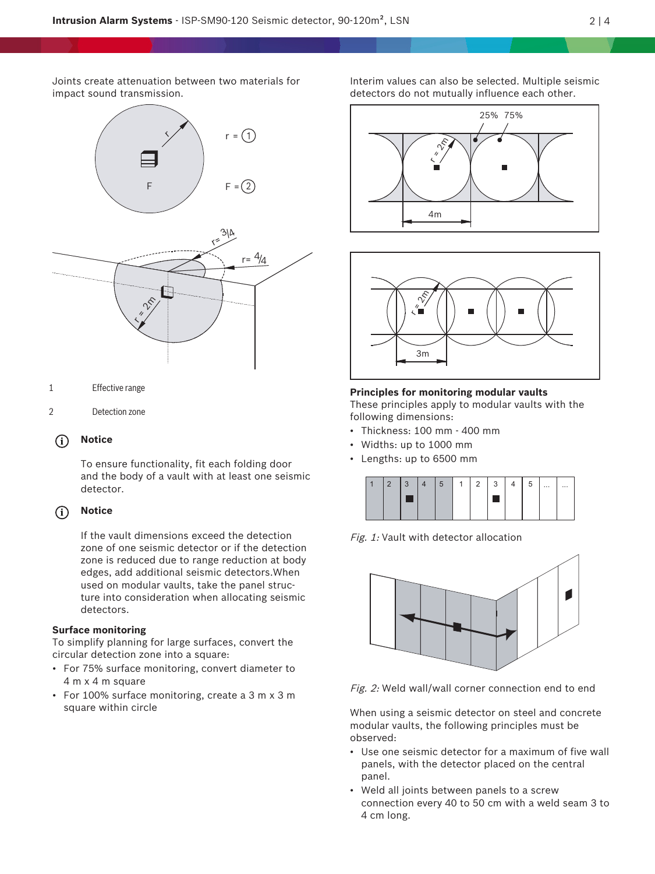Joints create attenuation between two materials for impact sound transmission.



- 1 Effective range
- 2 Detection zone

#### **i Notice**

To ensure functionality, fit each folding door and the body of a vault with at least one seismic detector.

#### **i Notice**

If the vault dimensions exceed the detection zone of one seismic detector or if the detection zone is reduced due to range reduction at body edges, add additional seismic detectors.When used on modular vaults, take the panel structure into consideration when allocating seismic detectors.

# **Surface monitoring**

To simplify planning for large surfaces, convert the circular detection zone into a square:

- For 75% surface monitoring, convert diameter to 4 m x 4 m square
- For 100% surface monitoring, create a 3 m x 3 m square within circle

Interim values can also be selected. Multiple seismic detectors do not mutually influence each other.





#### **Principles for monitoring modular vaults**

These principles apply to modular vaults with the following dimensions:

- Thickness: 100 mm 400 mm
- Widths: up to 1000 mm
- Lengths: up to 6500 mm

| $\cdots$<br>$\cdots$ |
|----------------------|
|                      |

Fig. 1: Vault with detector allocation



Fig. 2: Weld wall/wall corner connection end to end

When using a seismic detector on steel and concrete modular vaults, the following principles must be observed:

- Use one seismic detector for a maximum of five wall panels, with the detector placed on the central panel.
- Weld all joints between panels to a screw connection every 40 to 50 cm with a weld seam 3 to 4 cm long.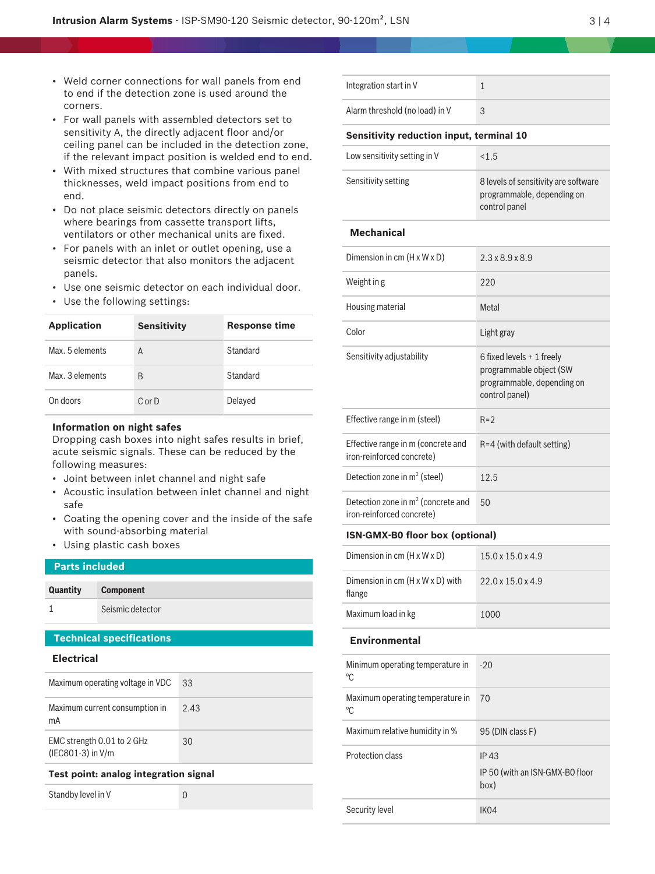- Weld corner connections for wall panels from end to end if the detection zone is used around the corners.
- For wall panels with assembled detectors set to sensitivity A, the directly adjacent floor and/or ceiling panel can be included in the detection zone, if the relevant impact position is welded end to en
- With mixed structures that combine various panel thicknesses, weld impact positions from end to end.
- Do not place seismic detectors directly on panels where bearings from cassette transport lifts, ventilators or other mechanical units are fixed.
- For panels with an inlet or outlet opening, use a seismic detector that also monitors the adjacent panels.
- Use one seismic detector on each individual door.
- Use the following settings:

| <b>Application</b> | <b>Sensitivity</b> | <b>Response time</b> |
|--------------------|--------------------|----------------------|
| Max. 5 elements    | Α                  | Standard             |
| Max. 3 elements    | B                  | Standard             |
| On doors           | $C$ or $D$         | Delayed              |

#### **Information on night safes**

Dropping cash boxes into night safes results in brief, acute seismic signals. These can be reduced by the following measures:

- Joint between inlet channel and night safe
- Acoustic insulation between inlet channel and night safe
- Coating the opening cover and the inside of the safe with sound-absorbing material
- Using plastic cash boxes

| <b>Parts included</b>                |                                  |      |
|--------------------------------------|----------------------------------|------|
| Quantity                             | <b>Component</b>                 |      |
|                                      | Seismic detector                 |      |
| <b>Technical specifications</b>      |                                  |      |
| <b>Electrical</b>                    |                                  |      |
|                                      | Maximum operating voltage in VDC | 33   |
| Maximum current consumption in<br>mA |                                  | 2.43 |

EMC strength 0.01 to 2 GHz (IEC801-3) in V/m

#### **Test point: analog integration signal**

Standby level in V 0

30

|     | Integration start in V                          | 1                                                                                   |
|-----|-------------------------------------------------|-------------------------------------------------------------------------------------|
|     | Alarm threshold (no load) in V                  | 3                                                                                   |
| е,  | <b>Sensitivity reduction input, terminal 10</b> |                                                                                     |
| ıd. | Low sensitivity setting in V                    | < 1.5                                                                               |
|     | Sensitivity setting                             | 8 levels of sensitivity are software<br>programmable, depending on<br>control panel |

#### **Mechanical**

| Dimension in cm $(H \times W \times D)$                           | $2.3 \times 8.9 \times 8.9$                                                                          |
|-------------------------------------------------------------------|------------------------------------------------------------------------------------------------------|
| Weight in g                                                       | 220                                                                                                  |
| Housing material                                                  | Metal                                                                                                |
| Color                                                             | Light gray                                                                                           |
| Sensitivity adjustability                                         | 6 fixed levels + 1 freely<br>programmable object (SW<br>programmable, depending on<br>control panel) |
| Effective range in m (steel)                                      | $R = 2$                                                                                              |
| Effective range in m (concrete and<br>iron-reinforced concrete)   | $R = 4$ (with default setting)                                                                       |
| Detection zone in $m^2$ (steel)                                   | 125                                                                                                  |
| Detection zone in $m2$ (concrete and<br>iron-reinforced concrete) | 50                                                                                                   |

#### **ISN-GMX-B0 floor box (optional)**

| Dimension in cm $(H \times W \times D)$               | $15.0 \times 15.0 \times 4.9$ |
|-------------------------------------------------------|-------------------------------|
| Dimension in $cm(H \times W \times D)$ with<br>flange | $22.0 \times 15.0 \times 4.9$ |
| Maximum load in kg                                    | 1000                          |

### **Environmental**

| Minimum operating temperature in<br>°C | $-20$                                                  |
|----------------------------------------|--------------------------------------------------------|
| Maximum operating temperature in<br>°C | 70                                                     |
| Maximum relative humidity in %         | 95 (DIN class F)                                       |
| Protection class                       | <b>IP43</b><br>IP 50 (with an ISN-GMX-BO floor<br>box) |
| Security level                         | IK <sub>04</sub>                                       |